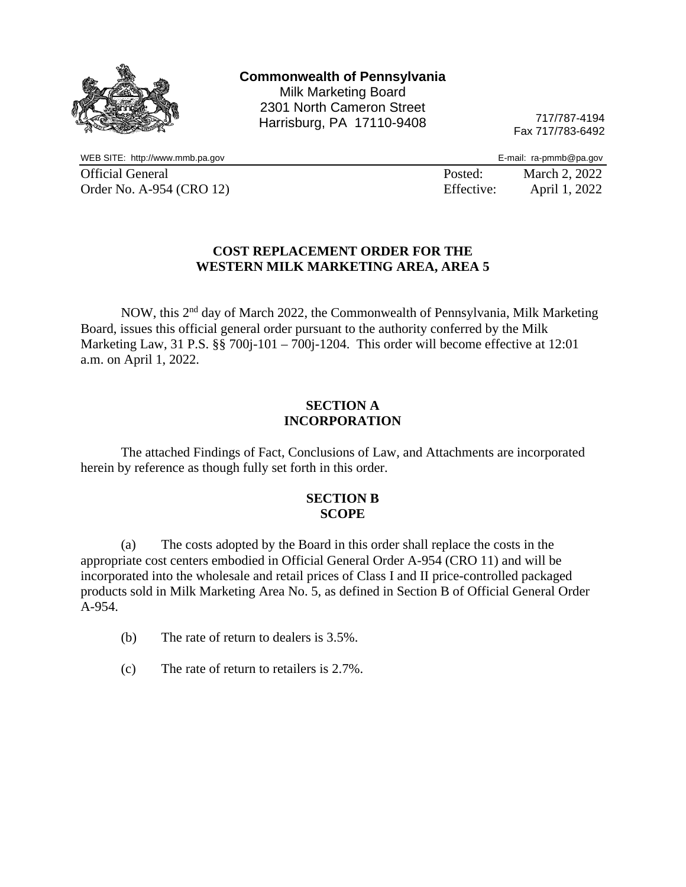

717/787-4194 Fax 717/783-6492

WEB SITE: http://www.mmb.pa.gov example and the state of the state of the state of the SITE: http://www.mmb.pa.gov Official General **Posted:** March 2, 2022 Order No. A-954 (CRO 12) Effective: April 1, 2022

### **COST REPLACEMENT ORDER FOR THE WESTERN MILK MARKETING AREA, AREA 5**

NOW, this 2nd day of March 2022, the Commonwealth of Pennsylvania, Milk Marketing Board, issues this official general order pursuant to the authority conferred by the Milk Marketing Law, 31 P.S. §§ 700j-101 – 700j-1204. This order will become effective at 12:01 a.m. on April 1, 2022.

### **SECTION A INCORPORATION**

The attached Findings of Fact, Conclusions of Law, and Attachments are incorporated herein by reference as though fully set forth in this order.

### **SECTION B SCOPE**

(a) The costs adopted by the Board in this order shall replace the costs in the appropriate cost centers embodied in Official General Order A-954 (CRO 11) and will be incorporated into the wholesale and retail prices of Class I and II price-controlled packaged products sold in Milk Marketing Area No. 5, as defined in Section B of Official General Order A-954.

- (b) The rate of return to dealers is 3.5%.
- (c) The rate of return to retailers is 2.7%.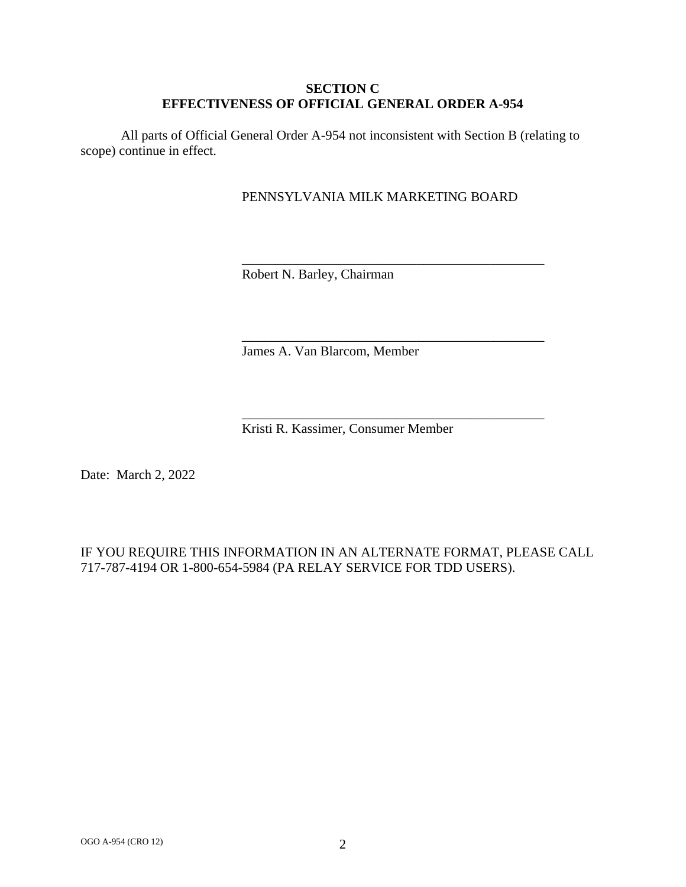### **SECTION C EFFECTIVENESS OF OFFICIAL GENERAL ORDER A-954**

All parts of Official General Order A-954 not inconsistent with Section B (relating to scope) continue in effect.

## PENNSYLVANIA MILK MARKETING BOARD

\_\_\_\_\_\_\_\_\_\_\_\_\_\_\_\_\_\_\_\_\_\_\_\_\_\_\_\_\_\_\_\_\_\_\_\_\_\_\_\_\_\_\_\_\_

\_\_\_\_\_\_\_\_\_\_\_\_\_\_\_\_\_\_\_\_\_\_\_\_\_\_\_\_\_\_\_\_\_\_\_\_\_\_\_\_\_\_\_\_\_

\_\_\_\_\_\_\_\_\_\_\_\_\_\_\_\_\_\_\_\_\_\_\_\_\_\_\_\_\_\_\_\_\_\_\_\_\_\_\_\_\_\_\_\_\_

Robert N. Barley, Chairman

James A. Van Blarcom, Member

Kristi R. Kassimer, Consumer Member

Date: March 2, 2022

## IF YOU REQUIRE THIS INFORMATION IN AN ALTERNATE FORMAT, PLEASE CALL 717-787-4194 OR 1-800-654-5984 (PA RELAY SERVICE FOR TDD USERS).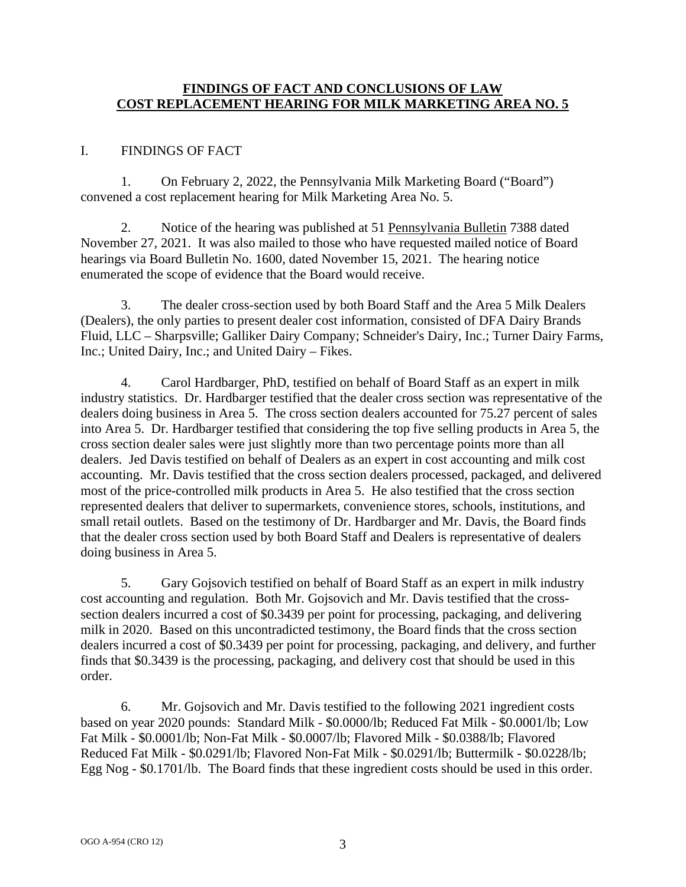### **FINDINGS OF FACT AND CONCLUSIONS OF LAW COST REPLACEMENT HEARING FOR MILK MARKETING AREA NO. 5**

## I. FINDINGS OF FACT

1. On February 2, 2022, the Pennsylvania Milk Marketing Board ("Board") convened a cost replacement hearing for Milk Marketing Area No. 5.

2. Notice of the hearing was published at 51 Pennsylvania Bulletin 7388 dated November 27, 2021. It was also mailed to those who have requested mailed notice of Board hearings via Board Bulletin No. 1600, dated November 15, 2021. The hearing notice enumerated the scope of evidence that the Board would receive.

3. The dealer cross-section used by both Board Staff and the Area 5 Milk Dealers (Dealers), the only parties to present dealer cost information, consisted of DFA Dairy Brands Fluid, LLC – Sharpsville; Galliker Dairy Company; Schneider's Dairy, Inc.; Turner Dairy Farms, Inc.; United Dairy, Inc.; and United Dairy – Fikes.

4. Carol Hardbarger, PhD, testified on behalf of Board Staff as an expert in milk industry statistics. Dr. Hardbarger testified that the dealer cross section was representative of the dealers doing business in Area 5. The cross section dealers accounted for 75.27 percent of sales into Area 5. Dr. Hardbarger testified that considering the top five selling products in Area 5, the cross section dealer sales were just slightly more than two percentage points more than all dealers. Jed Davis testified on behalf of Dealers as an expert in cost accounting and milk cost accounting. Mr. Davis testified that the cross section dealers processed, packaged, and delivered most of the price-controlled milk products in Area 5. He also testified that the cross section represented dealers that deliver to supermarkets, convenience stores, schools, institutions, and small retail outlets. Based on the testimony of Dr. Hardbarger and Mr. Davis, the Board finds that the dealer cross section used by both Board Staff and Dealers is representative of dealers doing business in Area 5.

5. Gary Gojsovich testified on behalf of Board Staff as an expert in milk industry cost accounting and regulation. Both Mr. Gojsovich and Mr. Davis testified that the crosssection dealers incurred a cost of \$0.3439 per point for processing, packaging, and delivering milk in 2020. Based on this uncontradicted testimony, the Board finds that the cross section dealers incurred a cost of \$0.3439 per point for processing, packaging, and delivery, and further finds that \$0.3439 is the processing, packaging, and delivery cost that should be used in this order.

6. Mr. Gojsovich and Mr. Davis testified to the following 2021 ingredient costs based on year 2020 pounds: Standard Milk - \$0.0000/lb; Reduced Fat Milk - \$0.0001/lb; Low Fat Milk - \$0.0001/lb; Non-Fat Milk - \$0.0007/lb; Flavored Milk - \$0.0388/lb; Flavored Reduced Fat Milk - \$0.0291/lb; Flavored Non-Fat Milk - \$0.0291/lb; Buttermilk - \$0.0228/lb; Egg Nog - \$0.1701/lb. The Board finds that these ingredient costs should be used in this order.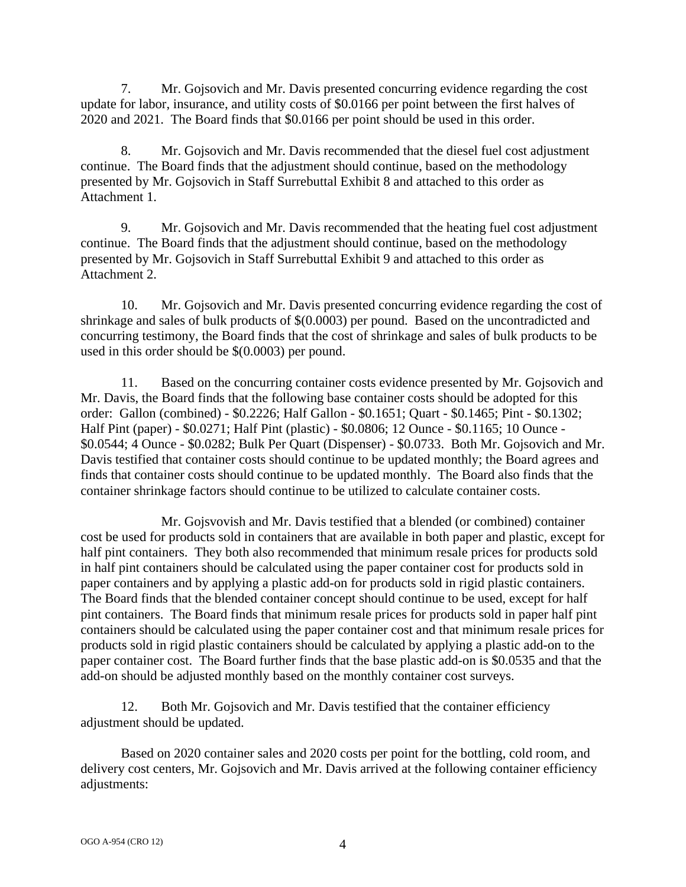7. Mr. Gojsovich and Mr. Davis presented concurring evidence regarding the cost update for labor, insurance, and utility costs of \$0.0166 per point between the first halves of 2020 and 2021. The Board finds that \$0.0166 per point should be used in this order.

8. Mr. Gojsovich and Mr. Davis recommended that the diesel fuel cost adjustment continue. The Board finds that the adjustment should continue, based on the methodology presented by Mr. Gojsovich in Staff Surrebuttal Exhibit 8 and attached to this order as Attachment 1.

9. Mr. Gojsovich and Mr. Davis recommended that the heating fuel cost adjustment continue. The Board finds that the adjustment should continue, based on the methodology presented by Mr. Gojsovich in Staff Surrebuttal Exhibit 9 and attached to this order as Attachment 2.

10. Mr. Gojsovich and Mr. Davis presented concurring evidence regarding the cost of shrinkage and sales of bulk products of \$(0.0003) per pound. Based on the uncontradicted and concurring testimony, the Board finds that the cost of shrinkage and sales of bulk products to be used in this order should be \$(0.0003) per pound.

11. Based on the concurring container costs evidence presented by Mr. Gojsovich and Mr. Davis, the Board finds that the following base container costs should be adopted for this order: Gallon (combined) - \$0.2226; Half Gallon - \$0.1651; Quart - \$0.1465; Pint - \$0.1302; Half Pint (paper) - \$0.0271; Half Pint (plastic) - \$0.0806; 12 Ounce - \$0.1165; 10 Ounce - \$0.0544; 4 Ounce - \$0.0282; Bulk Per Quart (Dispenser) - \$0.0733. Both Mr. Gojsovich and Mr. Davis testified that container costs should continue to be updated monthly; the Board agrees and finds that container costs should continue to be updated monthly. The Board also finds that the container shrinkage factors should continue to be utilized to calculate container costs.

Mr. Gojsvovish and Mr. Davis testified that a blended (or combined) container cost be used for products sold in containers that are available in both paper and plastic, except for half pint containers. They both also recommended that minimum resale prices for products sold in half pint containers should be calculated using the paper container cost for products sold in paper containers and by applying a plastic add-on for products sold in rigid plastic containers. The Board finds that the blended container concept should continue to be used, except for half pint containers. The Board finds that minimum resale prices for products sold in paper half pint containers should be calculated using the paper container cost and that minimum resale prices for products sold in rigid plastic containers should be calculated by applying a plastic add-on to the paper container cost. The Board further finds that the base plastic add-on is \$0.0535 and that the add-on should be adjusted monthly based on the monthly container cost surveys.

12. Both Mr. Gojsovich and Mr. Davis testified that the container efficiency adjustment should be updated.

Based on 2020 container sales and 2020 costs per point for the bottling, cold room, and delivery cost centers, Mr. Gojsovich and Mr. Davis arrived at the following container efficiency adjustments: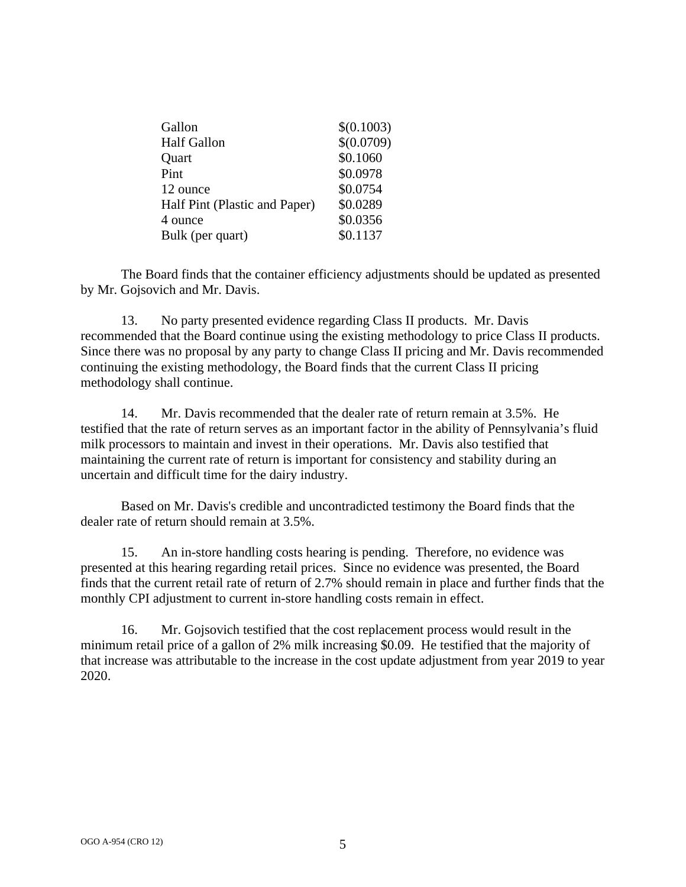| Gallon                        | \$(0.1003) |
|-------------------------------|------------|
| <b>Half Gallon</b>            | \$(0.0709) |
| Quart                         | \$0.1060   |
| Pint                          | \$0.0978   |
| 12 ounce                      | \$0.0754   |
| Half Pint (Plastic and Paper) | \$0.0289   |
| 4 ounce                       | \$0.0356   |
| Bulk (per quart)              | \$0.1137   |

The Board finds that the container efficiency adjustments should be updated as presented by Mr. Gojsovich and Mr. Davis.

13. No party presented evidence regarding Class II products. Mr. Davis recommended that the Board continue using the existing methodology to price Class II products. Since there was no proposal by any party to change Class II pricing and Mr. Davis recommended continuing the existing methodology, the Board finds that the current Class II pricing methodology shall continue.

14. Mr. Davis recommended that the dealer rate of return remain at 3.5%. He testified that the rate of return serves as an important factor in the ability of Pennsylvania's fluid milk processors to maintain and invest in their operations. Mr. Davis also testified that maintaining the current rate of return is important for consistency and stability during an uncertain and difficult time for the dairy industry.

Based on Mr. Davis's credible and uncontradicted testimony the Board finds that the dealer rate of return should remain at 3.5%.

15. An in-store handling costs hearing is pending. Therefore, no evidence was presented at this hearing regarding retail prices. Since no evidence was presented, the Board finds that the current retail rate of return of 2.7% should remain in place and further finds that the monthly CPI adjustment to current in-store handling costs remain in effect.

16. Mr. Gojsovich testified that the cost replacement process would result in the minimum retail price of a gallon of 2% milk increasing \$0.09. He testified that the majority of that increase was attributable to the increase in the cost update adjustment from year 2019 to year 2020.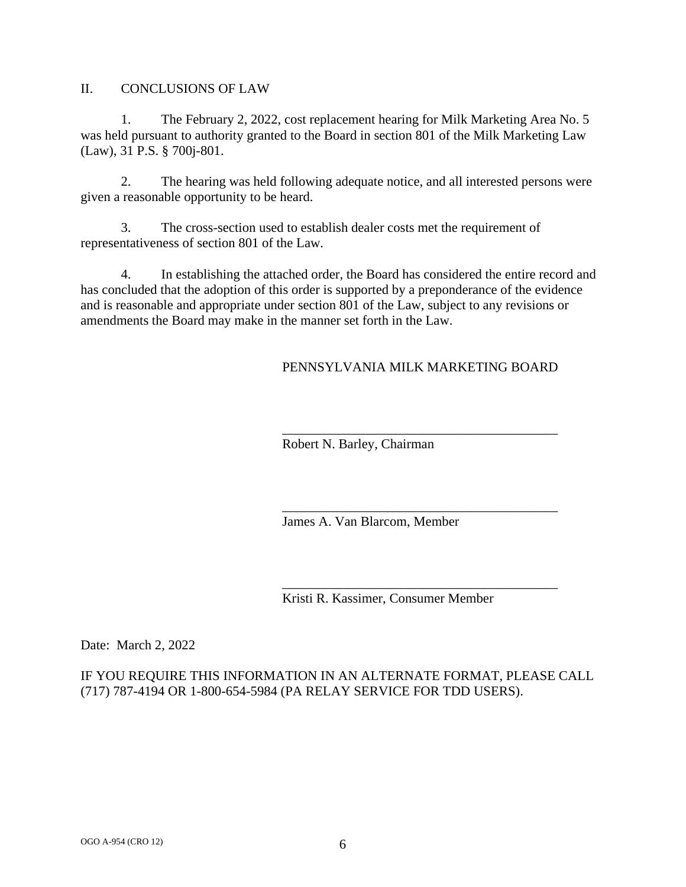II. CONCLUSIONS OF LAW

1. The February 2, 2022, cost replacement hearing for Milk Marketing Area No. 5 was held pursuant to authority granted to the Board in section 801 of the Milk Marketing Law (Law), 31 P.S. § 700j-801.

2. The hearing was held following adequate notice, and all interested persons were given a reasonable opportunity to be heard.

3. The cross-section used to establish dealer costs met the requirement of representativeness of section 801 of the Law.

4. In establishing the attached order, the Board has considered the entire record and has concluded that the adoption of this order is supported by a preponderance of the evidence and is reasonable and appropriate under section 801 of the Law, subject to any revisions or amendments the Board may make in the manner set forth in the Law.

## PENNSYLVANIA MILK MARKETING BOARD

\_\_\_\_\_\_\_\_\_\_\_\_\_\_\_\_\_\_\_\_\_\_\_\_\_\_\_\_\_\_\_\_\_\_\_\_\_\_\_\_\_

\_\_\_\_\_\_\_\_\_\_\_\_\_\_\_\_\_\_\_\_\_\_\_\_\_\_\_\_\_\_\_\_\_\_\_\_\_\_\_\_\_

Robert N. Barley, Chairman

James A. Van Blarcom, Member

\_\_\_\_\_\_\_\_\_\_\_\_\_\_\_\_\_\_\_\_\_\_\_\_\_\_\_\_\_\_\_\_\_\_\_\_\_\_\_\_\_ Kristi R. Kassimer, Consumer Member

Date: March 2, 2022

IF YOU REQUIRE THIS INFORMATION IN AN ALTERNATE FORMAT, PLEASE CALL (717) 787-4194 OR 1-800-654-5984 (PA RELAY SERVICE FOR TDD USERS).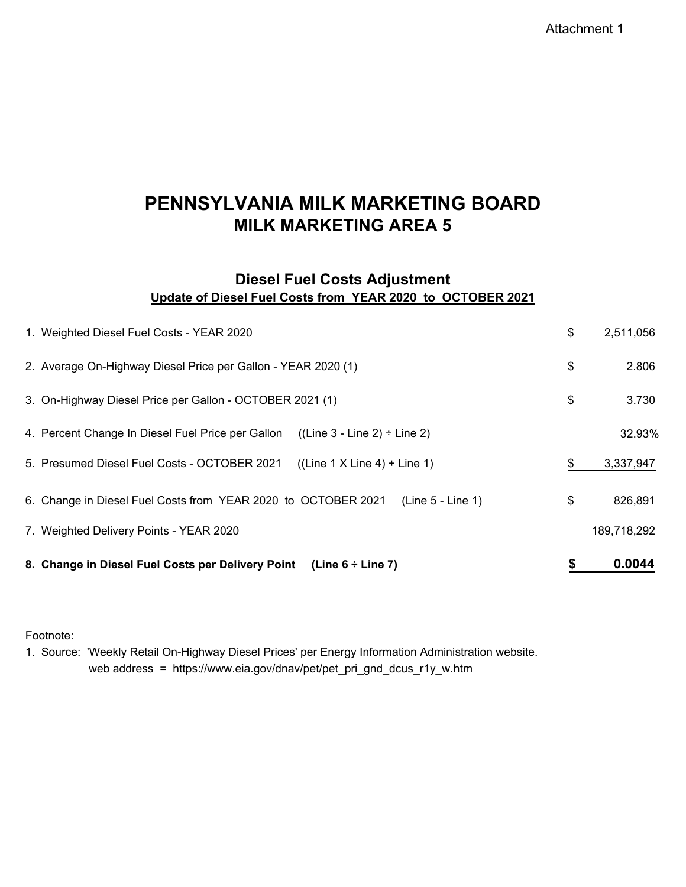Attachment 1

# **PENNSYLVANIA MILK MARKETING BOARD MILK MARKETING AREA 5**

## **Diesel Fuel Costs Adjustment Update of Diesel Fuel Costs from YEAR 2020 to OCTOBER 2021**

| 8. Change in Diesel Fuel Costs per Delivery Point<br>(Line $6 \div$ Line 7)            | \$<br>0.0044    |
|----------------------------------------------------------------------------------------|-----------------|
| 7. Weighted Delivery Points - YEAR 2020                                                | 189,718,292     |
| (Line 5 - Line 1)<br>6. Change in Diesel Fuel Costs from YEAR 2020 to OCTOBER 2021     | \$<br>826,891   |
| 5. Presumed Diesel Fuel Costs - OCTOBER 2021<br>$((Line 1 X Line 4) + Line 1)$         | \$<br>3,337,947 |
| 4. Percent Change In Diesel Fuel Price per Gallon<br>$((Line 3 - Line 2) \div Line 2)$ | 32.93%          |
| 3. On-Highway Diesel Price per Gallon - OCTOBER 2021 (1)                               | \$<br>3.730     |
| 2. Average On-Highway Diesel Price per Gallon - YEAR 2020 (1)                          | \$<br>2.806     |
| 1. Weighted Diesel Fuel Costs - YEAR 2020                                              | \$<br>2,511,056 |

Footnote:

1. Source: 'Weekly Retail On-Highway Diesel Prices' per Energy Information Administration website. web address = https://www.eia.gov/dnav/pet/pet\_pri\_gnd\_dcus\_r1y\_w.htm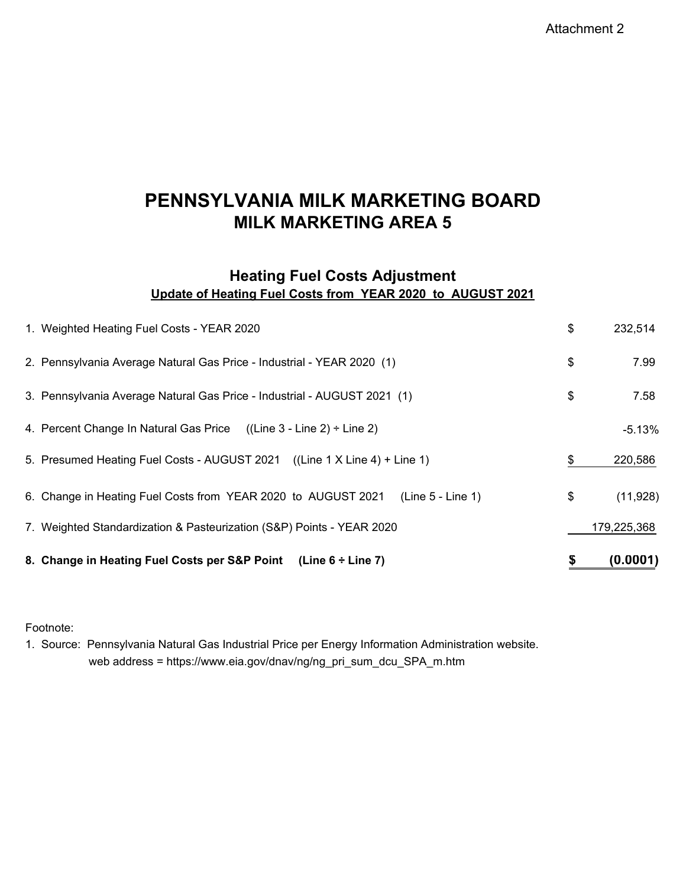Attachment 2

# **MILK MARKETING AREA 5 PENNSYLVANIA MILK MARKETING BOARD**

## **Heating Fuel Costs Adjustment Update of Heating Fuel Costs from YEAR 2020 to AUGUST 2021**

| 8. Change in Heating Fuel Costs per S&P Point<br>(Line 6 ÷ Line 7)                   | \$<br>(0.0001)  |
|--------------------------------------------------------------------------------------|-----------------|
| 7. Weighted Standardization & Pasteurization (S&P) Points - YEAR 2020                | 179,225,368     |
| 6. Change in Heating Fuel Costs from YEAR 2020 to AUGUST 2021<br>$(Line 5 - Line 1)$ | \$<br>(11, 928) |
| 5. Presumed Heating Fuel Costs - AUGUST 2021 ((Line 1 X Line 4) + Line 1)            | \$<br>220,586   |
| 4. Percent Change In Natural Gas Price<br>$((Line 3 - Line 2) \div Line 2)$          | $-5.13%$        |
| 3. Pennsylvania Average Natural Gas Price - Industrial - AUGUST 2021 (1)             | \$<br>7.58      |
| 2. Pennsylvania Average Natural Gas Price - Industrial - YEAR 2020 (1)               | \$<br>7.99      |
| 1. Weighted Heating Fuel Costs - YEAR 2020                                           | \$<br>232,514   |

Footnote:

1. Source: Pennsylvania Natural Gas Industrial Price per Energy Information Administration website. web address = https://www.eia.gov/dnav/ng/ng\_pri\_sum\_dcu\_SPA\_m.htm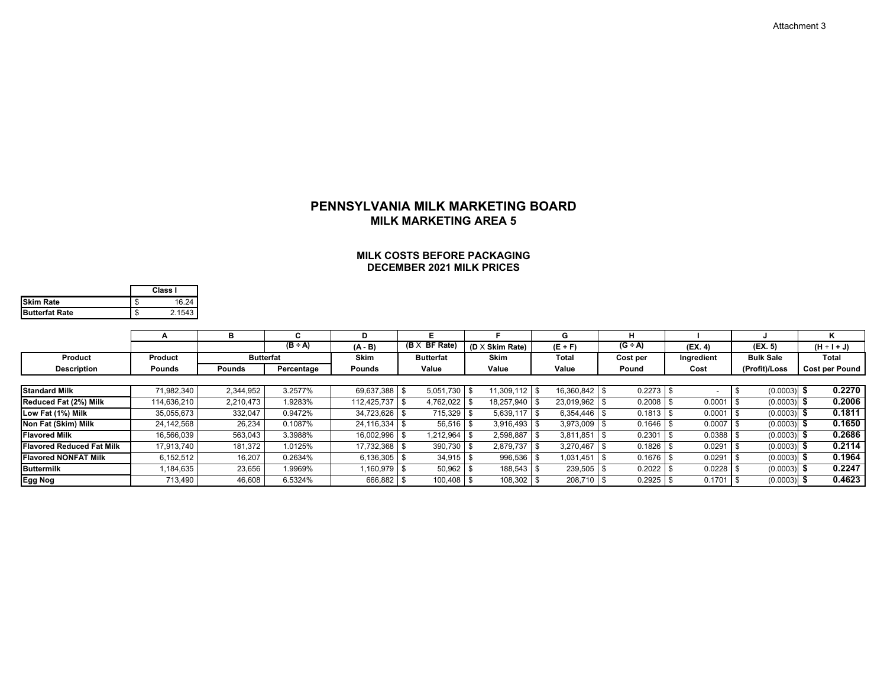### **MILK COSTS BEFORE PACKAGINGDECEMBER 2021 MILK PRICES**

|                       |   | Class I |
|-----------------------|---|---------|
| <b>Skim Rate</b>      |   | 16 24   |
| <b>Butterfat Rate</b> | Ф | 2 1543  |

|                                  | А                                | в                  |                  | D              | Е                       |                        | G                | н         |            |                  | Κ                     |
|----------------------------------|----------------------------------|--------------------|------------------|----------------|-------------------------|------------------------|------------------|-----------|------------|------------------|-----------------------|
|                                  |                                  |                    | $(B \div A)$     | $(A - B)$      | <b>BF Rate)</b><br>(B X | $(D \times$ Skim Rate) | $(E + F)$        | $(G + A)$ | (EX. 4)    | (EX. 5)          | $(H + I + J)$         |
| <b>Product</b>                   | Product                          |                    | <b>Butterfat</b> | <b>Skim</b>    | <b>Butterfat</b>        | <b>Skim</b>            | Total            | Cost per  | Ingredient | <b>Bulk Sale</b> | Total                 |
| <b>Description</b>               | Pounds                           | <b>Pounds</b>      | Percentage       | Pounds         | Value                   | Value                  | Value            | Pound     | Cost       | (Profit)/Loss    | <b>Cost per Pound</b> |
|                                  |                                  |                    |                  |                |                         |                        |                  |           |            |                  |                       |
| <b>Standard Milk</b>             | 71.982.340                       | 2,344,952          | 3.2577%          | 69.637.388 \$  | 5,051,730               | 11.309.112             | 16.360.842 \$    | 0.2273    |            | (0.0003)         | 0.2270                |
| Reduced Fat (2%) Milk            | 114.636.210                      | 2.210.473          | .9283%           | 112.425.737 \$ | 4.762.022               | 18.257.940             | 23,019,962       | 0.2008    | 0.0001     | (0.0003)         | 0.2006                |
| Low Fat (1%) Milk                | 35,055,673                       | 332,047            | 0.9472%          | 34.723.626     | 715,329                 | 5.639.117              | $6.354.446$ \ \$ | 0.1813    | 0.0001     | (0.0003)         | 0.1811                |
| Non Fat (Skim) Milk              | 24.142.568                       | 26,234             | 0.1087%          | 24.116.334 \$  | 56,516                  | 3.916.493              | 3.973.009        | 0.1646    | 0.0007     | (0.0003)         | 0.1650                |
| <b>Flavored Milk</b>             | 16,566,039<br>563,043<br>3.3988% |                    | 16,002,996       | ,212,964       | 2,598,887               | 3.811.851              | 0.2301           | 0.0388    | (0.0003)   | 0.2686           |                       |
| <b>Flavored Reduced Fat Milk</b> | 17,913,740                       | 181,372<br>1.0125% |                  | 17,732,368     | 390,730                 | 2,879,737              | 3.270.467        | 0.1826    | 0.0291     | (0.0003)         | 0.2114                |
| <b>Flavored NONFAT Milk</b>      | 6.152.512                        | 16,207             | 0.2634%          | 6.136.305      | 34.915                  | 996,536                | 1.031.451        | 0.1676    | 0.0291     | (0.0003)         | 0.1964                |
| <b>Buttermilk</b>                | ,184,635                         | 23,656             | 1.9969%          | ,160,979       | 50,962                  | 188,543                | 239,505          | 0.2022    | 0.0228     | (0.0003)         | 0.2247                |
| Egg Nog                          | 713,490                          | 46,608             | 6.5324%          | 666,882        | 100,408                 | 108,302                | 208,710          | 0.2925    | 0.1701     | (0.0003)         | 0.4623                |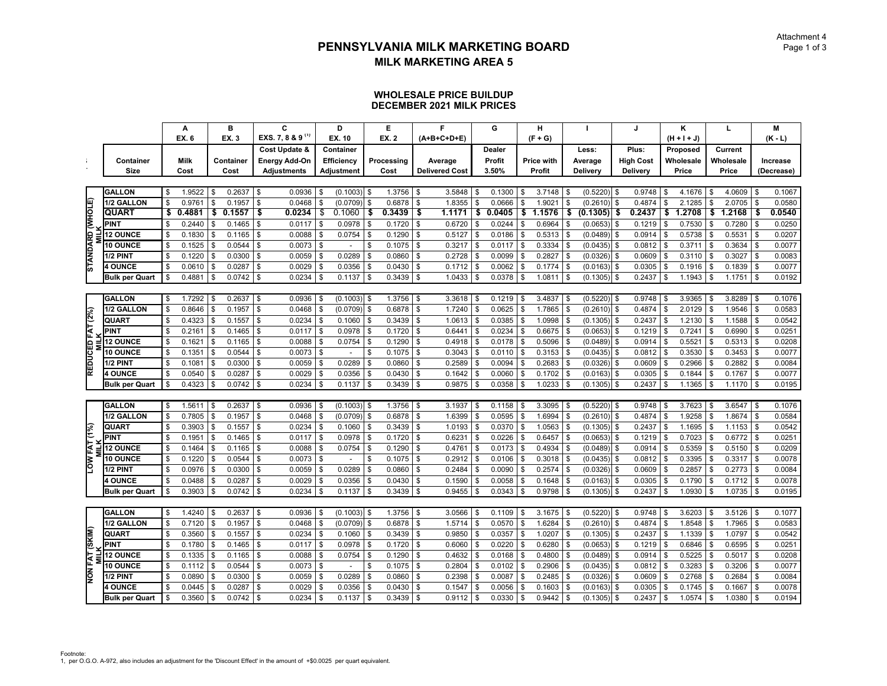#### **WHOLESALE PRICE BUILDUPDECEMBER 2021 MILK PRICES**

|                       |                       |                | A            |     | B         | C.                           |              | D                        |                | E          |            | F                     |     | G      |    | н                 |          |               |            | J.               |            | κ             |     | L         |            | M          |
|-----------------------|-----------------------|----------------|--------------|-----|-----------|------------------------------|--------------|--------------------------|----------------|------------|------------|-----------------------|-----|--------|----|-------------------|----------|---------------|------------|------------------|------------|---------------|-----|-----------|------------|------------|
|                       |                       |                | <b>EX. 6</b> |     | EX. 3     | EXS. 7, 8 & 9 <sup>(1)</sup> |              | EX. 10                   |                | EX. 2      |            | $(A+B+C+D+E)$         |     |        |    | $(F + G)$         |          |               |            |                  |            | $(H + I + J)$ |     |           |            | $(K - L)$  |
|                       |                       |                |              |     |           | Cost Update &                |              | Container                |                |            |            |                       |     | Dealer |    |                   |          | Less:         |            | Plus:            |            | Proposed      |     | Current   |            |            |
| ÷                     | Container             |                | <b>Milk</b>  |     | Container | <b>Energy Add-On</b>         |              | Efficiency               |                | Processing |            | Average               |     | Profit |    | <b>Price with</b> |          | Average       |            | <b>High Cost</b> |            | Wholesale     |     | Wholesale |            | Increase   |
|                       | Size                  |                | Cost         |     | Cost      | <b>Adjustments</b>           |              | Adjustment               |                | Cost       |            | <b>Delivered Cost</b> |     | 3.50%  |    | Profit            |          | Delivery      |            | Delivery         |            | Price         |     | Price     |            | (Decrease) |
|                       |                       |                |              |     |           |                              |              |                          |                |            |            |                       |     |        |    |                   |          |               |            |                  |            |               |     |           |            |            |
|                       | <b>GALLON</b>         | \$             | 1.9522       | \$  | 0.2637    | \$<br>0.0936                 | \$           | $(0.1003)$ \$            |                | 1.3756     | $\sqrt{3}$ | 3.5848                | \$  | 0.1300 | \$ | $3.7148$ \$       |          | (0.5220)      | $\sqrt{3}$ | 0.9748           | <b>S</b>   | 4.1676        | \$  | 4.0609    | $\sqrt{3}$ | 0.1067     |
|                       | 1/2 GALLON            | \$             | 0.976'       | \$  | 0.1957    | \$<br>0.0468                 | \$           | (0.0709)                 | \$             | 0.6878     | Ŝ.         | 1.8355                | \$  | 0.0666 | \$ | 1.9021            | \$       | (0.2610)      | \$         | 0.4874           | \$         | 2.1285        | \$  | 2.0705    | \$         | 0.0580     |
| STANDARD (WHOLE)      | <b>QUART</b>          | \$             | 0.4881       | \$  | 0.1557    | \$<br>0.0234                 |              | 0.1060                   |                | 0.3439     | \$         | 1.1171                | \$  | 0.0405 | \$ | 1.1576            | \$       | (0.1305)      | \$         | 0.2437           | \$         | 1.2708        | \$  | 1.2168    | \$         | 0.0540     |
|                       | <b>PINT</b>           | \$             | 0.2440       | \$  | 0.1465    | \$<br>0.0117                 | \$           | 0.0978                   | Ŝ.             | 0.1720     | \$         | 0.6720                | \$  | 0.0244 | \$ | 0.6964            | \$       | (0.0653)      | \$         | 0.1219           | \$         | 0.7530        | \$  | 0.7280    | \$         | 0.0250     |
|                       | <b>12 OUNCE</b>       | \$             | 0.1830       | \$  | 0.1165    | \$<br>0.0088                 | \$           | 0.0754                   | \$             | 0.1290     | \$         | 0.5127                | \$  | 0.0186 | \$ | 0.5313            | \$       | (0.0489)      | \$         | 0.0914           | \$         | 0.5738        | \$  | 0.5531    | \$         | 0.0207     |
|                       | <b>10 OUNCE</b>       | \$             | 0.1525       | \$  | 0.0544    | \$<br>0.0073                 | \$           |                          | \$             | 0.1075     | \$         | 0.3217                | \$  | 0.0117 | \$ | 0.3334            | \$       | $(0.0435)$ \$ |            | 0.0812           | \$         | 0.3711        | \$  | 0.3634    | \$         | 0.0077     |
|                       | 1/2 PINT              | \$             | 0.1220       | \$  | 0.0300    | \$<br>0.0059                 | \$           | 0.0289                   | \$             | 0.0860     | \$         | 0.2728                | \$  | 0.0099 | \$ | 0.2827            | \$       | (0.0326)      | \$         | 0.0609           | \$         | 0.3110        | \$  | 0.3027    | \$         | 0.0083     |
|                       | <b>4 OUNCE</b>        |                | 0.0610       | \$  | 0.0287    | \$<br>0.0029                 | \$           | 0.0356                   | \$             | 0.0430     | \$         | 0.1712                | \$  | 0.0062 | \$ | 0.1774            | \$       | (0.0163)      | $\sqrt{3}$ | 0.0305           | \$         | 0.1916        | \$  | 0.1839    | \$         | 0.0077     |
|                       | <b>Bulk per Quart</b> |                | 0.4881       | \$  | 0.0742    | \$<br>0.0234                 | \$           | 0.1137                   | \$             | 0.3439     | \$         | 1.0433                | \$  | 0.0378 | \$ | 1.0811            | l \$     | $(0.1305)$ \$ |            | 0.2437           | \$         | 1.1943        | \$  | 1.1751    | \$         | 0.0192     |
|                       |                       |                |              |     |           |                              |              |                          |                |            |            |                       |     |        |    |                   |          |               |            |                  |            |               |     |           |            |            |
|                       | <b>GALLON</b>         | \$             | 1.7292       | \$  | 0.2637    | \$<br>0.0936                 | \$           | $(0.1003)$ \$            |                | 1.3756     |            | 3.3618                | \$  | 0.1219 | \$ | 3.4837            | \$       | (0.5220)      | \$         | 0.9748           | \$         | 3.9365        | \$  | 3.8289    | \$         | 0.1076     |
|                       | 1/2 GALLON            | \$             | 0.8646       | \$  | 0.1957    | \$<br>0.0468                 | £.           | (0.0709)                 | \$             | 0.6878     | \$         | 1.7240                | \$  | 0.0625 | \$ | 1.7865            | \$       | (0.2610)      | \$         | 0.4874           | \$         | 2.0129        | \$  | 1.9546    | \$         | 0.0583     |
|                       | QUART                 | \$             | 0.4323       | \$  | 0.1557    | \$<br>0.0234                 | \$           | 0.1060                   | \$             | 0.3439     | \$         | 1.0613                | \$  | 0.0385 | \$ | 1.0998            | \$       | $(0.1305)$ \$ |            | 0.2437           | \$         | 1.2130        | \$  | 1.1588    | \$         | 0.0542     |
|                       | <b>PINT</b>           |                | 0.2161       | \$  | 0.1465    | \$<br>0.0117                 | $\mathbf{f}$ | 0.0978                   | \$             | 0.1720     | \$         | 0.6441                | \$  | 0.0234 | \$ | 0.6675            | l \$     | $(0.0653)$ \$ |            | 0.1219           | \$         | 0.7241        | \$  | 0.6990    | \$         | 0.0251     |
|                       | <b>12 OUNCE</b>       | \$             | 0.1621       | \$  | 0.1165    | \$<br>0.0088                 | £            | 0.0754                   | \$             | 0.1290     | \$         | 0.4918                | \$  | 0.0178 | \$ | 0.5096            | \$       | (0.0489)      | \$         | 0.0914           | \$         | 0.5521        | S   | 0.5313    | \$         | 0.0208     |
|                       | <b>10 OUNCE</b>       | \$             | 0.1351       | \$  | 0.0544    | \$<br>0.0073                 | \$           |                          | \$             | 0.1075     | \$         | 0.3043                | \$  | 0.0110 | \$ | 0.3153            | \$       | (0.0435)      | \$         | 0.0812           | \$         | 0.3530        | \$  | 0.3453    | \$         | 0.0077     |
|                       | 1/2 PINT              | \$             | 0.1081       | \$  | 0.0300    | \$<br>0.0059                 | \$           | 0.0289                   | \$             | 0.0860     | \$         | 0.2589                | \$  | 0.0094 | \$ | 0.2683            | \$       | $(0.0326)$ \$ |            | 0.0609           | \$         | 0.2966        | \$  | 0.2882    | \$         | 0.0084     |
| REDUCED FAT (2%)      | <b>4 OUNCE</b>        | \$             | 0.0540       | \$  | 0.0287    | \$<br>0.0029                 | \$           | 0.0356                   | \$             | 0.0430     | \$         | 0.1642                | \$  | 0.0060 | \$ | 0.1702            | <b>S</b> | $(0.0163)$ \$ |            | 0.0305           | \$         | 0.1844        | \$  | 0.1767    | \$         | 0.0077     |
|                       | <b>Bulk per Quart</b> |                | 0.4323       | \$  | 0.0742    | \$<br>0.0234                 | £            | 0.1137                   | \$             | 0.3439     |            | 0.9875                | \$  | 0.0358 | \$ | 1.0233            | \$       | (0.1305)      | \$         | 0.2437           | \$         | 1.1365        | \$  | 1.1170    | \$         | 0.0195     |
|                       |                       |                |              |     |           |                              |              |                          |                |            |            |                       |     |        |    |                   |          |               |            |                  |            |               |     |           |            |            |
|                       | <b>GALLON</b>         | \$             | 1.561'       | \$  | 0.2637    | \$<br>0.0936                 | \$           | $(0.1003)$ \$            |                | 1.3756     | <b>S</b>   | 3.1937                | \$  | 0.1158 | \$ | 3.3095            | l \$     | (0.5220)      | \$         | 0.9748           | \$         | 3.7623        | \$  | 3.6547    | <b>S</b>   | 0.1076     |
|                       | 1/2 GALLON            | \$             | 0.7805       | \$  | 0.1957    | \$<br>0.0468                 | £.           | (0.0709)                 | \$             | 0.6878     | \$         | 1.6399                | \$  | 0.0595 | \$ | 1.6994            | \$       | (0.2610)      | \$         | 0.4874           | \$         | 1.9258        | \$  | 1.8674    | \$         | 0.0584     |
|                       | QUART                 | \$             | 0.3903       | \$  | 0.1557    | \$<br>0.0234                 |              | 0.1060                   | \$             | 0.3439     | \$         | 1.0193                |     | 0.0370 | \$ | 1.0563            | \$       | (0.1305)      | \$         | 0.2437           | \$         | 1.1695        | \$  | 1.1153    | \$         | 0.0542     |
| LOW FAT (1%)          | PINT                  | $\mathfrak{S}$ | 0.1951       | \$  | 0.1465    | \$<br>0.0117                 | \$           | 0.0978                   | \$             | 0.1720     | l \$       | 0.6231                | \$  | 0.0226 | \$ | 0.6457            | <b>S</b> | $(0.0653)$ \$ |            | 0.1219           | \$         | 0.7023        | \$  | 0.6772    | $\sqrt{3}$ | 0.0251     |
|                       | <b>12 OUNCE</b>       |                | 0.1464       | \$  | 0.1165    | \$<br>0.0088                 | £.           | 0.0754                   | \$             | 0.1290     | \$         | 0.4761                | \$  | 0.0173 | \$ | 0.4934            | \$       | (0.0489)      | \$         | 0.0914           | \$         | 0.5359        | \$  | 0.5150    | \$         | 0.0209     |
|                       | <b>10 OUNCE</b>       | \$             | 0.1220       | \$  | 0.0544    | \$<br>0.0073                 | \$           |                          | \$             | 0.1075     | \$         | 0.2912                |     | 0.0106 | \$ | 0.3018            | \$       | (0.0435)      | <b>S</b>   | 0.0812           | \$         | 0.3395        | \$  | 0.3317    | \$         | 0.0078     |
|                       | 1/2 PINT              | \$             | 0.0976       | Ŝ.  | 0.0300    | \$<br>0.0059                 | \$           | 0.0289                   | \$             | 0.0860     | Ŝ.         | 0.2484                | \$  | 0.0090 | \$ | $0.2574$ \$       |          | $(0.0326)$ \$ |            | 0.0609           | $\sqrt{3}$ | 0.2857        | \$  | 0.2773    | \$         | 0.0084     |
|                       | <b>4 OUNCE</b>        |                | 0.0488       | \$  | 0.0287    | \$<br>0.0029                 | £            | 0.0356                   | \$             | 0.0430     | \$         | 0.1590                | \$  | 0.0058 | \$ | 0.1648            | \$       | (0.0163)      | \$         | 0.0305           | \$         | 0.1790        | \$  | 0.1712    | \$         | 0.0078     |
|                       | <b>Bulk per Quart</b> |                | 0.3903       | \$  | 0.0742    | \$<br>0.0234                 | \$           | 0.1137                   | \$             | 0.3439     | \$         | 0.9455                | \$  | 0.0343 | \$ | 0.9798            | \$       | $(0.1305)$ \$ |            | 0.2437           | \$         | 1.0930        | \$  | 1.0735    | \$         | 0.0195     |
|                       |                       |                |              |     |           |                              |              |                          |                |            |            |                       |     |        |    |                   |          |               |            |                  |            |               |     |           |            |            |
|                       | <b>GALLON</b>         | \$             | 1.4240       | \$  | 0.2637    | \$<br>0.0936                 |              | (0.1003)                 | \$             | 1.3756     | \$         | 3.0566                | \$. | 0.1109 | -S | 3.1675            | Ŝ.       | (0.5220)      | \$         | 0.9748           | \$.        | 3.6203        | \$  | 3.5126    | \$         | 0.1077     |
|                       | 1/2 GALLON            | \$             | 0.7120       | \$  | 0.1957    | \$<br>0.0468                 |              | (0.0709)                 | $\mathcal{S}$  | 0.6878     | \$         | 1.5714                |     | 0.0570 | \$ | 1.6284            | \$       | $(0.2610)$ \$ |            | 0.4874           | \$         | 1.8548        | Ŝ   | 1.7965    | \$         | 0.0583     |
|                       | QUART                 | \$             | 0.3560       | \$  | 0.1557    | \$<br>0.0234                 | \$           | 0.1060                   | \$             | 0.3439     | \$         | 0.9850                | \$  | 0.0357 | \$ | 1.0207            | l \$     | $(0.1305)$ \$ |            | 0.2437           | <b>S</b>   | 1.1339        | Ŝ.  | 1.0797    | \$         | 0.0542     |
|                       | <b>PINT</b>           |                | 0.1780       | \$  | 0.1465    | \$<br>0.0117                 | £.           | 0.0978                   | $\mathfrak{L}$ | 0.1720     | \$         | 0.6060                | \$  | 0.0220 | \$ | 0.6280            |          | (0.0653)      | \$         | 0.1219           | \$         | 0.6846        | \$  | 0.6595    | \$         | 0.0251     |
|                       | <b>12 OUNCE</b>       |                | 0.1335       | \$  | 0.1165    | \$<br>0.0088                 | £            | 0.0754                   | Ŝ.             | 0.1290     | \$         | 0.4632                |     | 0.0168 | \$ | 0.4800            | Ŝ.       | (0.0489)      | -\$        | 0.0914           | \$         | 0.5225        | \$  | 0.5017    | \$         | 0.0208     |
|                       | <b>10 OUNCE</b>       | \$             | 0.1112       | \$  | 0.0544    | \$<br>0.0073                 | \$           | $\overline{\phantom{a}}$ | $\mathcal{S}$  | 0.1075     | <b>S</b>   | 0.2804                | \$  | 0.0102 | \$ | 0.2906            | <b>S</b> | $(0.0435)$ \$ |            | 0.0812           | \$         | 0.3283        | \$  | 0.3206    | \$         | 0.0077     |
| <b>NON FAT (SKIM)</b> | 1/2 PINT              |                | 0.0890       | \$. | 0.0300    | \$<br>0.0059                 | £.           | 0.0289                   | $\mathfrak{R}$ | 0.0860     | \$         | 0.2398                |     | 0.0087 | \$ | 0.2485            | \$       | (0.0326)      | \$         | 0.0609           | \$         | 0.2768        | \$. | 0.2684    | \$         | 0.0084     |
|                       | <b>4 OUNCE</b>        |                | 0.0445       | \$  | 0.0287    | \$<br>0.0029                 |              | 0.0356                   | \$             | 0.0430     |            | 0.1547                |     | 0.0056 | \$ | 0.1603            |          | (0.0163)      | \$         | 0.0305           |            | 0.1745        | S   | 0.1667    |            | 0.0078     |
|                       | <b>Bulk per Quart</b> | \$             | 0.3560       | \$  | 0.0742    | \$<br>0.0234                 | \$           | 0.1137                   | \$             | 0.3439     | l \$       | 0.9112                | \$  | 0.0330 | \$ | 0.9442            | \$       | (0.1305)      | \$         | 0.2437           | \$         | 1.0574        | \$  | 1.0380    | \$         | 0.0194     |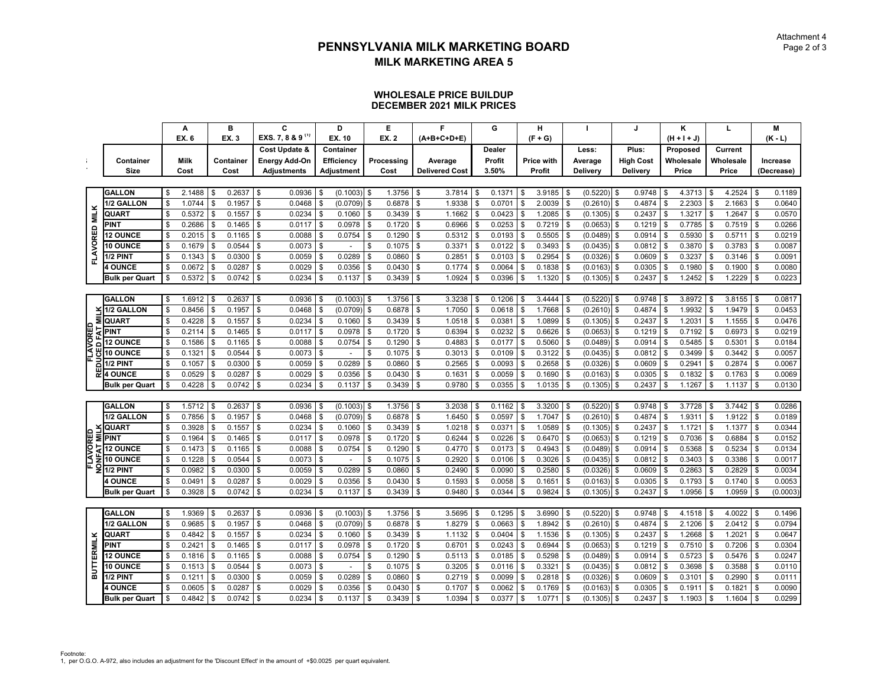#### **WHOLESALE PRICE BUILDUPDECEMBER 2021 MILK PRICES**

|                   |                              | A            |    | B         |            | C                            |     | D              |      | Е            |          | F                     |      | G             |    | н           |                           |               |     | J                |                | κ             |    | L         |                | м          |
|-------------------|------------------------------|--------------|----|-----------|------------|------------------------------|-----|----------------|------|--------------|----------|-----------------------|------|---------------|----|-------------|---------------------------|---------------|-----|------------------|----------------|---------------|----|-----------|----------------|------------|
|                   |                              | <b>EX.6</b>  |    | EX. 3     |            | EXS. 7, 8 & 9 <sup>(1)</sup> |     | EX. 10         |      | <b>EX. 2</b> |          | (A+B+C+D+E)           |      |               |    | $(F + G)$   |                           |               |     |                  |                | $(H + I + J)$ |    |           |                | $(K - L)$  |
|                   |                              |              |    |           |            | Cost Update &                |     | Container      |      |              |          |                       |      | <b>Dealer</b> |    |             |                           | Less:         |     | Plus:            |                | Proposed      |    | Current   |                |            |
| ÷                 | Container                    | <b>Milk</b>  |    | Container |            | Energy Add-On                |     | Efficiency     |      | Processing   |          | Average               |      | Profit        |    | Price with  |                           | Average       |     | <b>High Cost</b> |                | Wholesale     |    | Wholesale |                | Increase   |
|                   | Size                         | Cost         |    | Cost      |            | <b>Adjustments</b>           |     | Adjustment     |      | Cost         |          | <b>Delivered Cost</b> |      | 3.50%         |    | Profit      |                           | Delivery      |     | Delivery         |                | Price         |    | Price     |                | (Decrease) |
|                   |                              |              |    |           |            |                              |     |                |      |              |          |                       |      |               |    |             |                           |               |     |                  |                |               |    |           |                |            |
|                   | <b>GALLON</b>                | \$<br>2.1488 | \$ | 0.2637    | \$         | 0.0936                       | -96 | (0.1003)       | l \$ | 1.3756       | \$       | 3.7814                | - \$ | 0.1371        | \$ | $3.9185$ \$ |                           | $(0.5220)$ \$ |     | 0.9748           | \$             | 4.3713        | \$ | 4.2524    | l \$           | 0.1189     |
|                   | 1/2 GALLON                   | \$<br>1.0744 | \$ | 0.1957    | \$         | 0.0468                       |     | (0.0709)       | \$   | 0.6878       | \$       | 1.9338                | \$   | 0.0701        | \$ | 2.0039      | \$                        | (0.2610)      | \$  | 0.4874           | \$             | 2.2303        | \$ | 2.1663    | \$             | 0.0640     |
| <b>MILK</b>       | QUART                        | \$<br>0.5372 | \$ | 0.1557    | \$         | 0.0234                       |     | 0.1060         | \$   | 0.3439       | \$       | 1.1662                | \$   | 0.0423        | \$ | 1.2085      | \$                        | $(0.1305)$ \$ |     | 0.2437           | \$             | 1.3217        | \$ | 1.2647    | \$             | 0.0570     |
|                   | <b>PINT</b>                  | \$<br>0.2686 | \$ | 0.1465    | Ŝ.         | 0.0117                       | \$  | 0.0978         | \$   | 0.1720       | \$       | 0.6966                | \$   | 0.0253        | \$ | $0.7219$ \$ |                           | $(0.0653)$ \$ |     | $0.1219$ \$      |                | 0.7785        | \$ | 0.7519    | \$             | 0.0266     |
|                   | <b>12 OUNCE</b>              | 0.2015       | \$ | 0.1165    | \$         | 0.0088                       | \$  | 0.0754         | \$   | 0.1290       | \$       | 0.5312                | \$   | 0.0193        | \$ | 0.5505      | \$                        | (0.0489)      | \$  | 0.0914           | \$             | 0.5930        | \$ | 0.5711    | \$             | 0.0219     |
| FLAVORED          | 10 OUNCE                     | 0.1679       | \$ | 0.0544    | \$         | 0.0073                       | \$  |                | \$   | 0.1075       | \$       | 0.3371                | \$   | 0.0122        | \$ | 0.3493      | \$                        | $(0.0435)$ \$ |     | 0.0812           | \$             | 0.3870        | \$ | 0.3783    | \$             | 0.0087     |
|                   | 1/2 PINT                     | \$<br>0.1343 | \$ | 0.0300    | \$         | 0.0059                       | \$  | 0.0289         | \$   | 0.0860       | \$       | 0.2851                | \$   | 0.0103        | \$ | 0.2954      | $\sqrt{3}$                | $(0.0326)$ \$ |     | 0.0609           | $\sqrt{3}$     | 0.3237        | \$ | 0.3146    | $\mathfrak{s}$ | 0.0091     |
|                   | <b>4 OUNCE</b>               | \$<br>0.0672 | \$ | 0.0287    | \$         | 0.0029                       |     | 0.0356         | \$   | 0.0430       | \$       | 0.1774                | \$   | 0.0064        | \$ | 0.1838      | \$                        | $(0.0163)$ \$ |     | 0.0305           | \$             | 0.1980        | \$ | 0.1900    | \$             | 0.0080     |
|                   | <b>Bulk per Quart</b>        | 0.5372       | \$ | 0.0742    | $\sqrt{3}$ | 0.0234                       | \$  | 0.1137         | \$   | 0.3439       | \$       | 1.0924                | \$   | 0.0396        | \$ | 1.1320      | \$                        | $(0.1305)$ \$ |     | 0.2437           | \$             | 1.2452        | \$ | 1.2229    | \$             | 0.0223     |
|                   |                              |              |    |           |            |                              |     |                |      |              |          |                       |      |               |    |             |                           |               |     |                  |                |               |    |           |                |            |
|                   | <b>GALLON</b>                | \$<br>1.6912 | \$ | 0.2637    | \$         | 0.0936                       |     | (0.1003)       | \$   | 1.3756       | <b>S</b> | 3.3238                | \$   | 0.1206        | \$ | 3.4444      | - \$                      | $(0.5220)$ \$ |     | 0.9748           | \$             | 3.8972        | \$ | 3.8155    | $\mathbf{s}$   | 0.0817     |
|                   | 1/2 GALLON                   | 0.8456       | \$ | 0.1957    | \$         | 0.0468                       |     | (0.0709)       | \$   | 0.6878       | \$       | 1.7050                |      | 0.0618        | \$ | 1.7668      | \$                        | $(0.2610)$ \$ |     | 0.4874           | \$             | 1.9932        | S  | 1.9479    | \$             | 0.0453     |
| ₹                 | <b>QUART</b>                 | \$<br>0.4228 | \$ | 0.1557    | \$         | 0.0234                       | \$  | 0.1060         | -\$  | 0.3439       | Ŝ.       | 1.0518                | \$   | 0.0381        | \$ | 1.0899      | l \$                      | $(0.1305)$ \$ |     | 0.2437           | \$             | 1.2031        | \$ | 1.1555    | $\sqrt{3}$     | 0.0476     |
|                   | PINT                         | 0.2114       | \$ | 0.1465    | \$         | 0.0117                       |     | 0.0978         | \$   | 0.1720       | \$       | 0.6394                | \$   | 0.0232        | \$ | 0.6626      | - \$                      | (0.0653)      | \$  | 0.1219           | \$             | 0.7192        | \$ | 0.6973    | \$             | 0.0219     |
|                   | <b>12 OUNCE</b>              | 0.1586       | \$ | 0.1165    | \$         | 0.0088                       |     | 0.0754         |      | 0.1290       | \$       | 0.4883                |      | 0.0177        | \$ | 0.5060      | - \$                      | (0.0489)      | ∣\$ | 0.0914           | \$             | 0.5485        |    | 0.5301    | \$             | 0.0184     |
| FLAVORED<br>۽     | 10 OUNCE                     | \$<br>0.1321 | \$ | 0.0544    | \$         | 0.0073                       | \$  |                | \$   | 0.1075       | \$       | 0.3013                | \$   | 0.0109        | \$ | 0.3122      | -S                        | $(0.0435)$ \$ |     | 0.0812           | \$             | 0.3499        | \$ | 0.3442    | \$             | 0.0057     |
|                   | 1/2 PINT                     | \$<br>0.1057 | \$ | 0.0300    | \$         | 0.0059                       | \$  | 0.0289         | \$   | 0.0860       | \$       | 0.2565                | \$   | 0.0093        | \$ | 0.2658      | \$                        | $(0.0326)$ \$ |     | 0.0609           | \$             | 0.2941        | \$ | 0.2874    | \$             | 0.0067     |
|                   | 꾼 4 OUNCE                    | 0.0529       | \$ | 0.0287    | \$         | 0.0029                       |     | 0.0356         |      | 0.0430       | \$       | 0.1631                | \$   | 0.0059        | \$ | 0.1690      | - \$                      | $(0.0163)$ \$ |     | 0.0305           | \$             | 0.1832        | \$ | 0.1763    | \$             | 0.0069     |
|                   | <b>Bulk per Quart</b>        | \$<br>0.4228 | \$ | 0.0742    | \$         | 0.0234                       | \$  | 0.1137         | \$   | 0.3439       | \$       | 0.9780                | \$   | 0.0355        | \$ | 1.0135      | - \$                      | $(0.1305)$ \$ |     | 0.2437           | \$             | 1.1267        | \$ | 1.1137    | \$             | 0.0130     |
|                   |                              |              |    |           |            |                              |     |                |      |              |          |                       |      |               |    |             |                           |               |     |                  |                |               |    |           |                |            |
|                   | <b>GALLON</b>                | \$<br>1.5712 | \$ | 0.2637    | \$         | 0.0936                       |     | $(0.1003)$ \$  |      | 1.3756       | Ŝ.       | 3.2038                | \$   | 0.1162        | \$ | $3.3200$ \$ |                           | $(0.5220)$ \$ |     | 0.9748           | \$             | 3.7728        | \$ | 3.7442    | \$             | 0.0286     |
|                   | 1/2 GALLON                   | \$<br>0.7856 | \$ | 0.1957    | \$         | 0.0468                       | \$  | (0.0709)       | \$   | 0.6878       | \$       | 1.6450                | \$   | 0.0597        | \$ | 1.7047      | $\boldsymbol{\mathsf{S}}$ | $(0.2610)$ \$ |     | 0.4874           | \$             | 1.9311        | \$ | 1.9122    | $\mathfrak s$  | 0.0189     |
|                   | <b>QUART</b>                 | \$<br>0.3928 | \$ | 0.1557    | \$         | 0.0234                       | \$  | 0.1060         | \$   | 0.3439       | \$       | 1.0218                | \$   | 0.0371        | \$ | 1.0589      | $\sqrt{3}$                | $(0.1305)$ \$ |     | 0.2437           | \$             | 1.1721        | \$ | 1.1377    | \$             | 0.0344     |
| FLAVORED          | $\overline{\mathbf{z}}$ PINT | 0.1964       | \$ | 0.1465    | \$         | 0.0117                       | \$  | 0.0978         | \$   | 0.1720       | \$       | 0.6244                | \$   | 0.0226        | \$ | 0.6470      | <b>S</b>                  | $(0.0653)$ \$ |     | 0.1219           | \$             | 0.7036        | \$ | 0.6884    | \$             | 0.0152     |
|                   | 국12 OUNCE                    | 0.1473       | \$ | 0.1165    | \$         | 0.0088                       | \$  | 0.0754         | \$   | 0.1290       | \$       | 0.4770                | \$   | 0.0173        | \$ | 0.4943      | \$                        | $(0.0489)$ \$ |     | 0.0914           | \$             | 0.5368        | \$ | 0.5234    | \$             | 0.0134     |
| Ξ                 | 10 OUNCE                     | \$<br>0.1228 | \$ | 0.0544    | \$         | 0.0073                       | \$  | $\blacksquare$ | \$   | 0.1075       | \$       | 0.2920                | \$   | 0.0106        | \$ | 0.3026      | \$                        | $(0.0435)$ \$ |     | 0.0812           | \$             | 0.3403        | \$ | 0.3386    | \$             | 0.0017     |
|                   | $2$ <sub>1/2</sub> PINT      | 0.0982       | \$ | 0.0300    | \$         | 0.0059                       | \$  | 0.0289         | \$   | 0.0860       | \$       | 0.2490                | \$   | 0.0090        | \$ | 0.2580      | \$                        | $(0.0326)$ \$ |     | 0.0609           | \$             | 0.2863        | \$ | 0.2829    | \$             | 0.0034     |
|                   | <b>4 OUNCE</b>               | 0.0491       | \$ | 0.0287    | \$         | 0.0029                       | \$  | 0.0356         | \$   | 0.0430       | \$       | 0.1593                | \$   | 0.0058        | \$ | 0.1651      | - \$                      | $(0.0163)$ \$ |     | 0.0305           | \$             | 0.1793        | \$ | 0.1740    | \$             | 0.0053     |
|                   | <b>Bulk per Quart</b>        | \$<br>0.3928 | \$ | 0.0742    | S.         | 0.0234                       | \$  | 0.1137         | \$   | 0.3439       | Ŝ.       | 0.9480                | \$   | 0.0344        | \$ | 0.9824      | Ŝ.                        | $(0.1305)$ \$ |     | 0.2437           | \$             | 1.0956        | \$ | 1.0959    | \$             | (0.0003)   |
|                   |                              |              |    |           |            |                              |     |                |      |              |          |                       |      |               |    |             |                           |               |     |                  |                |               |    |           |                |            |
|                   | <b>GALLON</b>                | \$<br>1.9369 | S  | 0.2637    | \$         | 0.0936                       |     | (0.1003)       | - \$ | 1.3756       | \$       | 3.5695                | \$   | 0.1295        | \$ | 3.6990      | - \$                      | $(0.5220)$ \$ |     | 0.9748           | \$             | 4.1518        | \$ | 4.0022    | \$             | 0.1496     |
|                   | 1/2 GALLON                   | 0.9685       | \$ | 0.1957    | \$         | 0.0468                       |     | (0.0709)       | \$   | 0.6878       | \$       | 1.8279                | \$   | 0.0663        | \$ | 1.8942      | \$                        | $(0.2610)$ \$ |     | 0.4874           | \$             | 2.1206        | \$ | 2.0412    | \$             | 0.0794     |
|                   | QUART                        | \$<br>0.4842 | \$ | 0.1557    | \$         | 0.0234                       | \$  | 0.1060         | \$   | 0.3439       | Ŝ.       | 1.1132                | \$   | 0.0404        | \$ | 1.1536      | l \$                      | $(0.1305)$ \$ |     | 0.2437           | \$             | 1.2668        | \$ | 1.2021    | \$             | 0.0647     |
|                   | <b>PINT</b>                  | 0.2421       | \$ | 0.1465    | \$         | 0.0117                       | £.  | 0.0978         |      | 0.1720       | \$       | 0.6701                | \$   | 0.0243        | Ŝ. | 0.6944      | \$                        | (0.0653)      | \$  | 0.1219           | \$             | 0.7510        | \$ | 0.7206    | \$             | 0.0304     |
| <b>BUTTERMILK</b> | <b>12 OUNCE</b>              | 0.1816       | \$ | 0.1165    | \$         | 0.0088                       |     | 0.0754         |      | 0.1290       | \$       | 0.5113                | \$   | 0.0185        | \$ | 0.5298      | - \$                      | $(0.0489)$ \$ |     | 0.0914           | \$             | 0.5723        | \$ | 0.5476    | \$             | 0.0247     |
|                   | <b>10 OUNCE</b>              | \$<br>0.1513 | \$ | 0.0544    | S.         | 0.0073                       | \$  | $\sim$         | \$   | 0.1075       | \$       | 0.3205                | \$   | 0.0116        | \$ | 0.3321      | l \$                      | $(0.0435)$ \$ |     | 0.0812           | $\sqrt{3}$     | 0.3698        | \$ | 0.3588    | \$             | 0.0110     |
|                   | 1/2 PINT                     | 0.1211       | \$ | 0.0300    | \$         | 0.0059                       | £.  | 0.0289         |      | 0.0860       | \$       | 0.2719                | \$   | 0.0099        | \$ | 0.2818      | \$                        | (0.0326)      | \$  | 0.0609           | \$             | 0.3101        | \$ | 0.2990    | \$             | 0.0111     |
|                   | <b>OUNCE</b>                 | 0.0605       | \$ | 0.0287    | \$         | 0.0029                       |     | 0.0356         |      | 0.0430       | \$       | 0.1707                | \$   | 0.0062        | \$ | 0.1769      |                           | $(0.0163)$ \$ |     | 0.0305           | \$             | 0.1911        | \$ | 0.1821    | \$             | 0.0090     |
|                   | <b>Bulk per Quart</b>        | \$<br>0.4842 | \$ | 0.0742    | $\sqrt{3}$ | 0.0234                       | \$  | 0.1137         | \$   | 0.3439       | \$       | 1.0394                | \$   | 0.0377        | \$ | 1.0771      | <b>S</b>                  | $(0.1305)$ \$ |     | 0.2437           | $\mathfrak{S}$ | 1.1903        | \$ | 1.1604    | \$             | 0.0299     |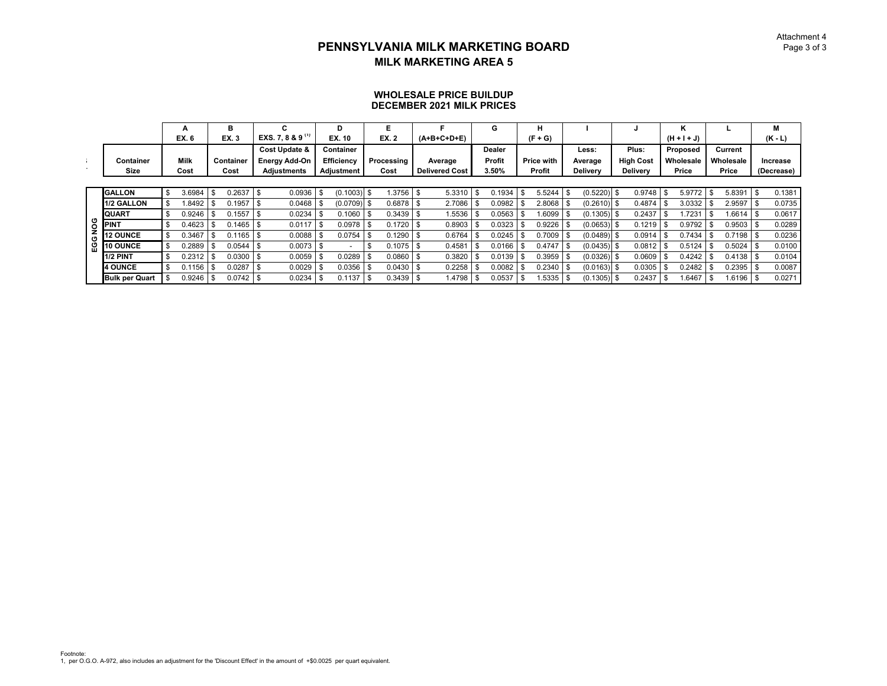#### **WHOLESALE PRICE BUILDUPDECEMBER 2021 MILK PRICES**

|                       | A      | в            | С                            | D                |             |                       |     | G             | н                 |                 |                  |      | n             |      |           |      | м          |
|-----------------------|--------|--------------|------------------------------|------------------|-------------|-----------------------|-----|---------------|-------------------|-----------------|------------------|------|---------------|------|-----------|------|------------|
|                       | EX. 6  | EX. 3        | EXS. 7, 8 & 9 <sup>(1)</sup> | EX. 10           | EX. 2       | $(A+B+C+D+E)$         |     |               | $(F + G)$         |                 |                  |      | $(H + I + J)$ |      |           |      | $(K - L)$  |
|                       |        |              | <b>Cost Update &amp;</b>     | <b>Container</b> |             |                       |     | <b>Dealer</b> |                   | Less:           | Plus:            |      | Proposed      |      | Current   |      |            |
| Container             | Milk   | Container    | <b>Energy Add-On</b>         | Efficiency       | Processing  | Average               |     | Profit        | <b>Price with</b> | Average         | <b>High Cost</b> |      | Wholesale     |      | Wholesale |      | Increase   |
| Size                  | Cost   | Cost         | Adjustments                  | Adjustment       | Cost        | <b>Delivered Cost</b> |     | 3.50%         | Profit            | <b>Delivery</b> | <b>Delivery</b>  |      | Price         |      | Price     |      | (Decrease) |
|                       |        |              |                              |                  |             |                       |     |               |                   |                 |                  |      |               |      |           |      |            |
| <b>GALLON</b>         | 3.6984 | \$<br>0.2637 | 0.0936                       | $(0.1003)$ \$    | 1.3756      | 5.3310                | \$  | 0.1934        | $5.5244$ \ \$     | $(0.5220)$ \$   | 0.9748           | Ŝ.   | 5.9772        | - \$ | 5.8391    | \$   | 0.1381     |
| 1/2 GALLON            | .8492  | 0.1957       | 0.0468                       | $(0.0709)$ \$    | 0.6878      | 2.7086                |     | 0.0982        | 2.8068 \$         | $(0.2610)$ \$   | 0.4874           | - \$ | 3.0332        |      | 2.9597    | \$   | 0.0735     |
| <b>QUART</b>          | 0.9246 | 0.1557       | 0.0234                       | 0.1060           | 0.3439      | 1.5536                |     | 0.0563        | $1.6099$ \$       | (0.1305)        | 0.2437           | \$   | .7231         |      | .6614     | - \$ | 0.0617     |
| <b>PINT</b>           | 0.4623 | 0.1465       | 0.0117                       | 0.0978           | 0.1720      | 0.8903                |     | 0.0323        | $0.9226$ \$       | $(0.0653)$ \$   | 0.1219           | - \$ | 0.9792        |      | 0.9503    | -\$  | 0.0289     |
| <b>12 OUNCE</b>       | 0.3467 | 0.1165       | 0.0088                       | 0.0754           | 0.1290      | 0.6764                |     | 0.0245        | $0.7009$ \$       | $(0.0489)$ \$   | 0.0914           | \$   | 0.7434        |      | 0.7198    | \$   | 0.0236     |
| 10 OUNCE              | 0.2889 | 0.0544       | 0.0073                       |                  | 0.1075      | 0.4581                |     | 0.0166        | 0.4747            | (0.0435)        | 0.0812           |      | 0.5124        |      | 0.5024    | \$   | 0.0100     |
| 1/2 PINT              | 0.2312 | 0.0300       | 0.0059                       | 0.0289           | 0.0860      | 0.3820                |     | 0.0139        | $0.3959$ \$       | $(0.0326)$ \$   | 0.0609           | - \$ | 0.4242        |      | 0.4138    | - \$ | 0.0104     |
| <b>4 OUNCE</b>        | 0.1156 | 0.0287       | 0.0029                       | 0.0356           | 0.0430      | 0.2258                |     | 0.0082        | 0.2340            | $(0.0163)$ \$   | 0.0305           | -S   | 0.2482        |      | 0.2395    | \$   | 0.0087     |
| <b>Bulk per Quart</b> | 0.9246 | 0.0742       | 0.0234                       | 0.1137           | $0.3439$ \$ | 1.4798                | -\$ | 0.0537        | .5335             | $(0.1305)$ \$   | 0.2437           | -\$  | .6467         |      | 1.6196    | \$   | 0.0271     |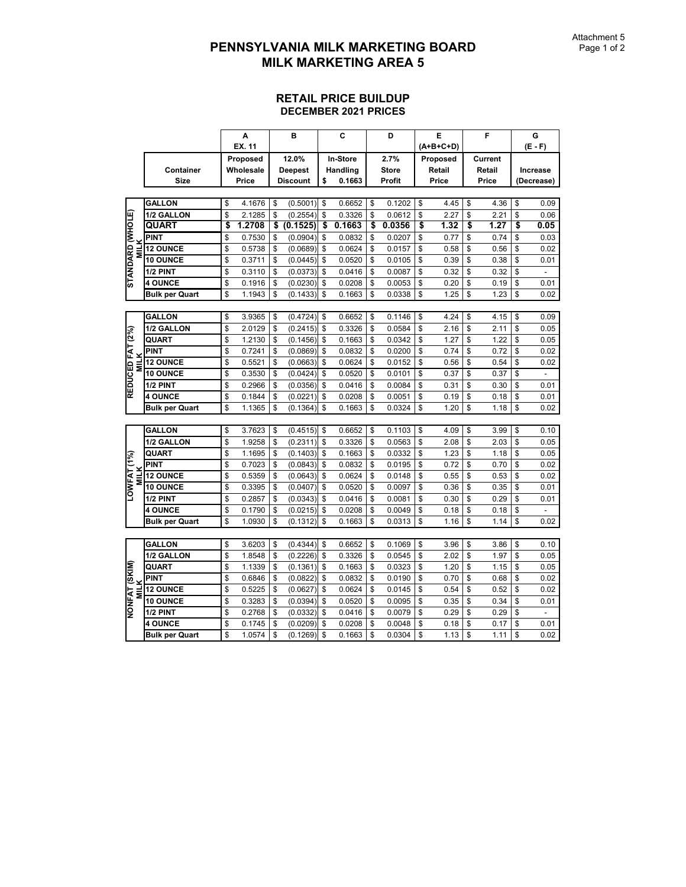|                                 |                       | A            | в               |                         | C               | D            |    | E         | F          | G          |
|---------------------------------|-----------------------|--------------|-----------------|-------------------------|-----------------|--------------|----|-----------|------------|------------|
|                                 |                       | EX. 11       |                 |                         |                 |              |    | (A+B+C+D) |            | $(E - F)$  |
|                                 |                       | Proposed     | 12.0%           |                         | <b>In-Store</b> | 2.7%         |    | Proposed  | Current    |            |
|                                 | Container             | Wholesale    | <b>Deepest</b>  |                         | Handling        | <b>Store</b> |    | Retail    | Retail     | Increase   |
|                                 | <b>Size</b>           | Price        | <b>Discount</b> | \$                      | 0.1663          | Profit       |    | Price     | Price      | (Decrease) |
|                                 |                       |              |                 |                         |                 |              |    |           |            |            |
|                                 | <b>GALLON</b>         | \$<br>4.1676 | \$<br>(0.5001)  | \$                      | 0.6652          | \$<br>0.1202 | \$ | 4.45      | \$<br>4.36 | \$<br>0.09 |
|                                 | 1/2 GALLON            | \$<br>2.1285 | \$<br>(0.2554)  | \$                      | 0.3326          | \$<br>0.0612 | \$ | 2.27      | \$<br>2.21 | \$<br>0.06 |
|                                 | QUART                 | \$<br>1.2708 | \$<br>(0.1525)  | $\overline{\mathbf{s}}$ | 0.1663          | \$<br>0.0356 | s  | 1.32      | \$<br>1.27 | \$<br>0.05 |
|                                 | PINT                  | \$<br>0.7530 | \$<br>(0.0904)  | \$                      | 0.0832          | \$<br>0.0207 | \$ | 0.77      | \$<br>0.74 | \$<br>0.03 |
| STANDARD (WHOLE)<br><b>MILK</b> | <b>12 OUNCE</b>       | \$<br>0.5738 | \$<br>(0.0689)  | \$                      | 0.0624          | \$<br>0.0157 | \$ | 0.58      | \$<br>0.56 | \$<br>0.02 |
|                                 | <b>10 OUNCE</b>       | \$<br>0.3711 | \$<br>(0.0445)  | \$                      | 0.0520          | \$<br>0.0105 | \$ | 0.39      | \$<br>0.38 | \$<br>0.01 |
|                                 | 1/2 PINT              | \$<br>0.3110 | \$<br>(0.0373)  | \$                      | 0.0416          | \$<br>0.0087 | \$ | 0.32      | \$<br>0.32 | \$         |
|                                 | <b>4 OUNCE</b>        | \$<br>0.1916 | \$<br>(0.0230)  | \$                      | 0.0208          | \$<br>0.0053 | \$ | 0.20      | \$<br>0.19 | \$<br>0.01 |
|                                 | <b>Bulk per Quart</b> | \$<br>1.1943 | \$<br>(0.1433)  | \$                      | 0.1663          | \$<br>0.0338 | \$ | 1.25      | \$<br>1.23 | \$<br>0.02 |
|                                 |                       |              |                 |                         |                 |              |    |           |            |            |
|                                 | <b>GALLON</b>         | \$<br>3.9365 | \$<br>(0.4724)  | \$                      | 0.6652          | \$<br>0.1146 | \$ | 4.24      | \$<br>4.15 | \$<br>0.09 |
|                                 | 1/2 GALLON            | \$<br>2.0129 | \$<br>(0.2415)  | \$                      | 0.3326          | \$<br>0.0584 | \$ | 2.16      | \$<br>2.11 | \$<br>0.05 |
| REDUCED FAT (2%)                | <b>QUART</b>          | \$<br>1.2130 | \$<br>(0.1456)  | \$                      | 0.1663          | \$<br>0.0342 | \$ | 1.27      | \$<br>1.22 | \$<br>0.05 |
|                                 | <b>PINT</b>           | \$<br>0.7241 | \$<br>(0.0869)  | \$                      | 0.0832          | \$<br>0.0200 | \$ | 0.74      | \$<br>0.72 | \$<br>0.02 |
| <b>MILK</b>                     | <b>12 OUNCE</b>       | \$<br>0.5521 | \$<br>(0.0663)  | \$                      | 0.0624          | \$<br>0.0152 | \$ | 0.56      | \$<br>0.54 | \$<br>0.02 |
|                                 | <b>10 OUNCE</b>       | \$<br>0.3530 | \$<br>(0.0424)  | \$                      | 0.0520          | \$<br>0.0101 | \$ | 0.37      | \$<br>0.37 | \$         |
|                                 | 1/2 PINT              | \$<br>0.2966 | \$<br>(0.0356)  | \$                      | 0.0416          | \$<br>0.0084 | \$ | 0.31      | \$<br>0.30 | \$<br>0.01 |
|                                 | <b>4 OUNCE</b>        | \$<br>0.1844 | \$<br>(0.0221)  | \$                      | 0.0208          | \$<br>0.0051 | \$ | 0.19      | \$<br>0.18 | \$<br>0.01 |
|                                 | Bulk per Quart        | \$<br>1.1365 | \$<br>(0.1364)  | \$                      | 0.1663          | \$<br>0.0324 | \$ | 1.20      | \$<br>1.18 | \$<br>0.02 |
|                                 |                       |              |                 |                         |                 |              |    |           |            |            |
|                                 | <b>GALLON</b>         | \$<br>3.7623 | \$<br>(0.4515)  | \$                      | 0.6652          | \$<br>0.1103 | \$ | 4.09      | \$<br>3.99 | \$<br>0.10 |
|                                 | 1/2 GALLON            | \$<br>1.9258 | \$<br>(0.2311)  | \$                      | 0.3326          | \$<br>0.0563 | \$ | 2.08      | \$<br>2.03 | \$<br>0.05 |
|                                 | QUART                 | \$<br>1.1695 | \$<br>(0.1403)  | \$                      | 0.1663          | \$<br>0.0332 | \$ | 1.23      | \$<br>1.18 | \$<br>0.05 |
|                                 | PINT                  | \$<br>0.7023 | \$<br>(0.0843)  | \$                      | 0.0832          | \$<br>0.0195 | \$ | 0.72      | \$<br>0.70 | \$<br>0.02 |
| <b>MILK</b>                     | <b>12 OUNCE</b>       | \$<br>0.5359 | \$<br>(0.0643)  | \$                      | 0.0624          | \$<br>0.0148 | \$ | 0.55      | \$<br>0.53 | \$<br>0.02 |
| LOWFAT (1%)                     | <b>10 OUNCE</b>       | \$<br>0.3395 | \$<br>(0.0407)  | \$                      | 0.0520          | \$<br>0.0097 | \$ | 0.36      | \$<br>0.35 | \$<br>0.01 |
|                                 | 1/2 PINT              | \$<br>0.2857 | \$<br>(0.0343)  | \$                      | 0.0416          | \$<br>0.0081 | \$ | 0.30      | \$<br>0.29 | \$<br>0.01 |
|                                 | <b>4 OUNCE</b>        | \$<br>0.1790 | \$<br>(0.0215)  | \$                      | 0.0208          | \$<br>0.0049 | \$ | 0.18      | \$<br>0.18 | \$         |
|                                 | <b>Bulk per Quart</b> | \$<br>1.0930 | \$<br>(0.1312)  | \$                      | 0.1663          | \$<br>0.0313 | \$ | 1.16      | \$<br>1.14 | \$<br>0.02 |
|                                 |                       |              |                 |                         |                 |              |    |           |            |            |
|                                 | <b>GALLON</b>         | \$<br>3.6203 | \$<br>(0.4344)  | \$                      | 0.6652          | \$<br>0.1069 | \$ | 3.96      | \$<br>3.86 | \$<br>0.10 |
|                                 | 1/2 GALLON            | \$<br>1.8548 | \$<br>(0.2226)  | \$                      | 0.3326          | \$<br>0.0545 | \$ | 2.02      | \$<br>1.97 | \$<br>0.05 |
|                                 | QUART                 | \$<br>1.1339 | \$<br>(0.1361)  | \$                      | 0.1663          | \$<br>0.0323 | \$ | 1.20      | \$<br>1.15 | \$<br>0.05 |
|                                 | PINT                  | \$<br>0.6846 | \$<br>(0.0822)  | \$                      | 0.0832          | \$<br>0.0190 | \$ | 0.70      | \$<br>0.68 | \$<br>0.02 |
| <b>MILK</b>                     | <b>12 OUNCE</b>       | \$<br>0.5225 | \$<br>(0.0627)  | \$                      | 0.0624          | \$<br>0.0145 | \$ | 0.54      | \$<br>0.52 | \$<br>0.02 |
| NONFAT (SKIM)                   | 10 OUNCE              | \$<br>0.3283 | \$<br>(0.0394)  | \$                      | 0.0520          | \$<br>0.0095 | \$ | 0.35      | \$<br>0.34 | \$<br>0.01 |
|                                 | 1/2 PINT              | \$<br>0.2768 | \$<br>(0.0332)  | \$                      | 0.0416          | \$<br>0.0079 | \$ | 0.29      | \$<br>0.29 | \$         |
|                                 | <b>4 OUNCE</b>        | \$<br>0.1745 | \$<br>(0.0209)  | \$                      | 0.0208          | \$<br>0.0048 | \$ | 0.18      | \$<br>0.17 | \$<br>0.01 |
|                                 | <b>Bulk per Quart</b> | \$<br>1.0574 | \$<br>(0.1269)  | \$                      | 0.1663          | \$<br>0.0304 | \$ | 1.13      | \$<br>1.11 | \$<br>0.02 |